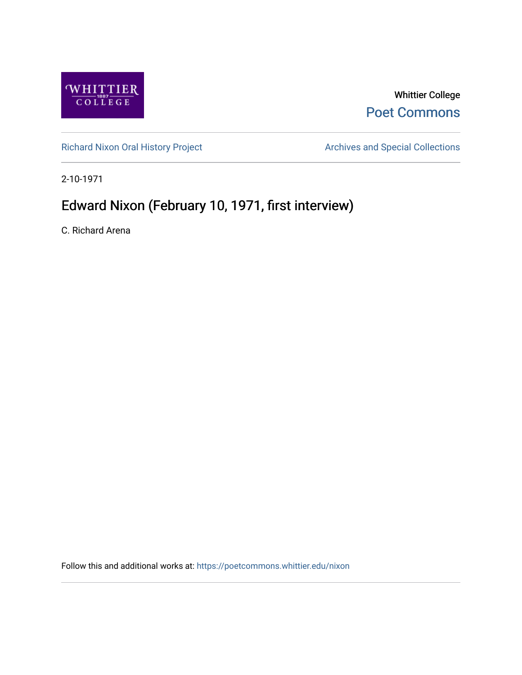

## Whittier College [Poet Commons](https://poetcommons.whittier.edu/)

[Richard Nixon Oral History Project](https://poetcommons.whittier.edu/nixon) **Archives and Special Collections** Archives and Special Collections

2-10-1971

## Edward Nixon (February 10, 1971, first interview)

C. Richard Arena

Follow this and additional works at: [https://poetcommons.whittier.edu/nixon](https://poetcommons.whittier.edu/nixon?utm_source=poetcommons.whittier.edu%2Fnixon%2F21&utm_medium=PDF&utm_campaign=PDFCoverPages)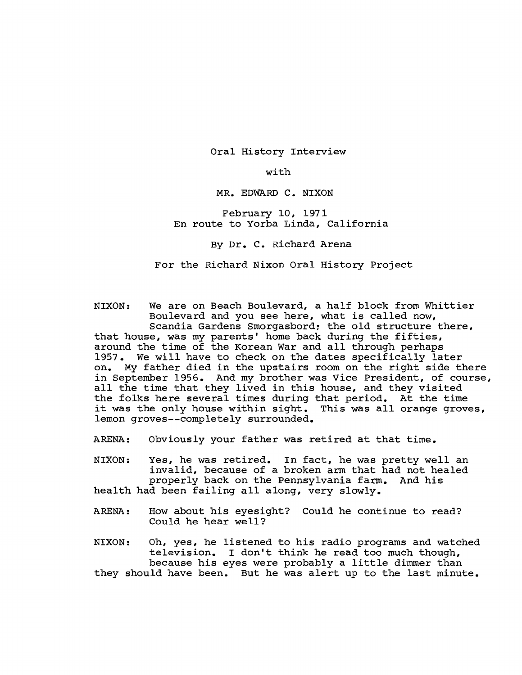Oral History Interview

with

MR. EDWARD C. NIXON

February 10, 1971 En route to Yorba Linda, California

By Dr. C. Richard Arena

For the Richard Nixon Oral History Project

NIXON: We are on Beach Boulevard, a half block from Whittier Boulevard and you see here, what is called now, Scandia Gardens Smorgasbord; the old structure there, that house, was my parents' home back during the fifties, around the time of the Korean War and all through perhaps 1957. We will have to check on the dates specifically later on. My father died in the upstairs room on the right side there in September 1956. And my brother was Vice President, of course, all the time that they lived in this house, and they visited the folks here several times during that period. At the time it was the only house within sight. This was all orange groves, lemon groves--completely surrounded.

ARENA: Obviously your father was retired at that time.

NIXON: Yes, he was retired. In fact, he was pretty well an invalid, because of a broken arm that had not healed<br>properly back on the Pennsylvania farm. And his properly back on the Pennsylvania farm. health had been failing all along, very slowly.

ARENA: How about his eyesight? Could he continue to read? Could he hear well?

NIXON: Oh, yes, he listened to his radio programs and watched television. I don't think he read too much though, because his eyes were probably a little dimmer than they should have been. But he was alert up to the last minute.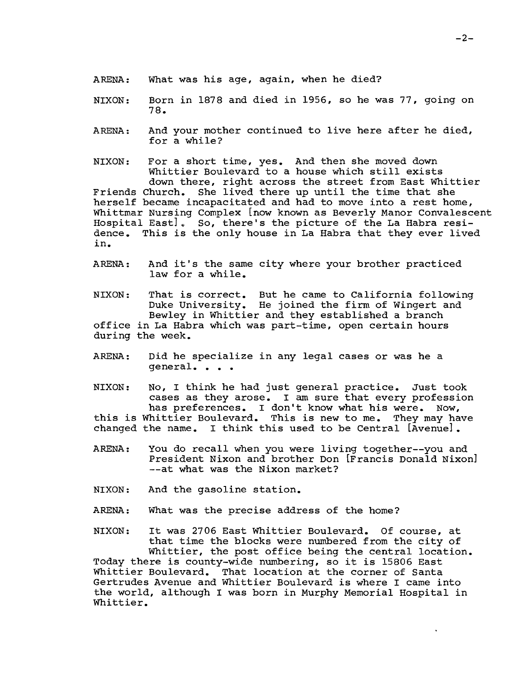- ARENA: What was his age, again, when he died?
- NIXON: Born in 1878 and died in 1956, so he was 77, going on 78.
- ARENA: And your mother continued to live here after he died, for a while?

NIXON: For a short time, yes. And then she moved down Whittier Boulevard to a house which still exists down there, right across the street from East Whittier Friends Church. She lived there up until the time that she herself became incapacitated and had to move into a rest home, Whittmar Nursing Complex [now known as Beverly Manor Convalescent Hospital East]. So, there's the picture of the La Habra resi-<br>dence. This is the only house in La Habra that they ever live This is the only house in La Habra that they ever lived in.

ARENA: And it's the same city where your brother practiced law for a while.

NIXON: That is correct. But he came to California following Duke University. He joined the firm of Wingert and Bewley in Whittier and they established a branch office in La Habra which was part-time, open certain hours during the week.

ARENA: Did he specialize in any legal cases or was he a general. . .

NIXON: No, I think he had just general practice. Just took cases as they arose. I am sure that every profession has preferences. I don't know what his were. Now, this is Whittier Boulevard. This is new to me. They may have changed the name. I think this used to be Central [Avenue].

- ARENA: You do recall when you were living together--you and President Nixon and brother Don [Francis Donald Nixon] --at what was the Nixon market?
- NIXON: And the gasoline station.
- ARENA: What was the precise address of the home?

NIXON: It was 2706 East Whittier Boulevard. Of course, at that time the blocks were numbered from the city of Whittier, the post office being the central location.

Today there is county-wide numbering, so it is 15806 East Whittier Boulevard. That location at the corner of Santa Gertrudes Avenue and Whittier Boulevard is where I came into the world, although I was born in Murphy Memorial Hospital in Whittier.

 $\ddot{\phantom{0}}$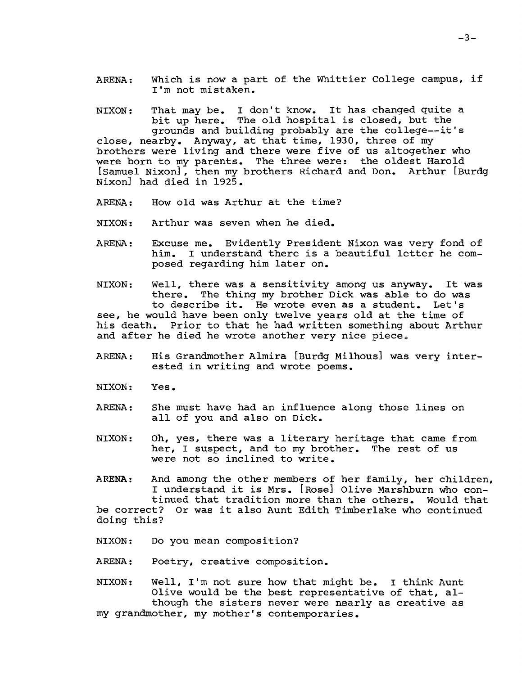ARENA: Which is now a part of the Whittier College campus, if I'm not mistaken.

NIXON: That may be. I don't know. It has changed quite a bit up here. The old hospital is closed, but the grounds and building probably are the college--it's close, nearby. Anyway, at that time, 1930, three of my brothers were living and there were five of us altogether who were born to my parents. The three were: the oldest Harold [Samuel Nixon], then my brothers Richard and Don. Arthur [Burdg Nixon] had died in 1925.

- ARENA: How old was Arthur at the time?
- NIXON: Arthur was seven when he died.
- ARENA: Excuse me. Evidently President Nixon was very fond of him. I understand there is a beautiful letter he composed regarding him later on.

NIXON: Well, there was a sensitivity among us anyway. It was there. The thing my brother Dick was able to do was to describe it. He wrote even as a student. Let's see, he would have been only twelve years old at the time of his death. Prior to that he had written something about Arthur and after he died he wrote another very nice piece.

- ARENA: His Grandmother Almira [Burdg Milhous] was very interested in writing and wrote poems.
- NIXON: Yes.
- ARENA: She must have had an influence along those lines on all of you and also on Dick.
- NIXON: Oh, yes, there was a literary heritage that came from her, I suspect, and to my brother. The rest of us were not so inclined to write.
- ARENA: And among the other members of her family, her children, I understand it is Mrs. [Rose] Olive Marshburn who continued that tradition more than the others. Would that be correct? Or was it also Aunt Edith Timberlake who continued doing this?
- NIXON: Do you mean composition?
- ARENA: Poetry, creative composition.

NIXON: Well, I'm not sure how that might be. I think Aunt Olive would be the best representative of that, although the sisters never were nearly as creative as my grandmother, my mother's contemporaries.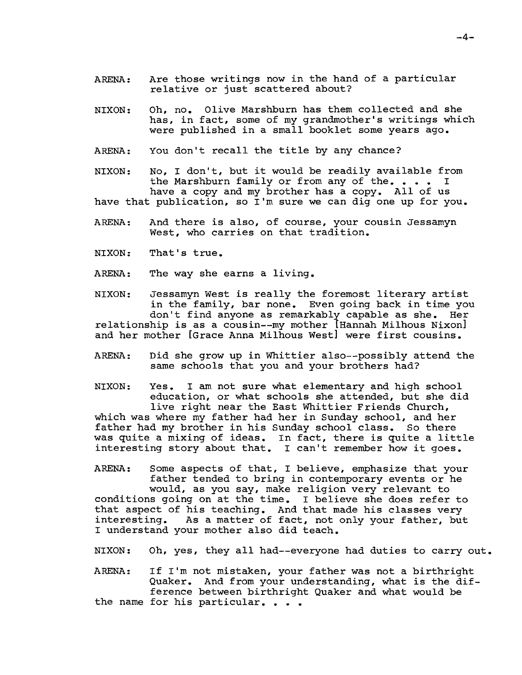- ARENA: Are those writings now in the hand of a particular relative or just scattered about?
- NIXON: Oh, no. Olive Marshburn has them collected and she has, in fact, some of my grandmother's writings which were published in a small booklet some years ago.
- ARENA: You don't recall the title by any chance?

NIXON: No, I don't, but it would be readily available from<br>the Marshburn family or from any of the.... I the Marshburn family or from any of the... have a copy and my brother has a copy. All of us have that publication, so I'm sure we can dig one up for you.

- ARENA: And there is also, of course, your cousin Jessamyn west, who carries on that tradition.
- NIXON: That's true.
- ARENA: The way she earns a living.

NIXON: Jessamyn West is really the foremost literary artist in the family, bar none. Even going back in time you don't find anyone as remarkably capable as she. Her relationship is as a cousin--my mother [Hannah Milhous Nixon] and her mother [Grace Anna Milhous West] were first cousins.

ARENA: Did she grow up in Whittier also--possibly attend the same schools that you and your brothers had?

NIXON: Yes. I am not sure what elementary and high school education, or what schools she attended, but she did live right near the East Whittier Friends Church, which was where my father had her in Sunday school, and her father had my brother in his Sunday school class. So there was quite a mixing of ideas. In fact, there is quite a little interesting story about that. I can't remember how it goes.

ARENA: Some aspects of that, I believe, emphasize that your father tended to bring in contemporary events or he would, as you say, make religion very relevant to conditions going on at the time. I believe she does refer to that aspect of his teaching. And that made his classes very interesting. As a matter of fact, not only your father, but I understand your mother also did teach.

NIXON: Oh, yes, they all had--everyone had duties to carry out.

ARENA: If I'm not mistaken, your father was not a birthright Quaker. And from your understanding, what is the difference between birthright Quaker and what would be the name for his particular. . . .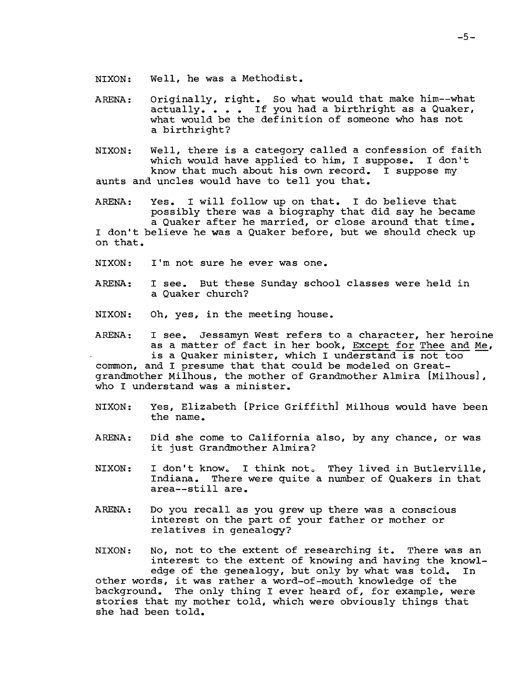- NIXON: Well, he was a Methodist.
- ARENA: Originally, right. So what would that make him--what actually.  $\bullet$   $\bullet$   $\bullet$  If you had a birthright as a Quaker, what would be the definition of someone who has not a birthright?
- NIXON: Well, there is a category called a confession of faith which would have applied to him, I suppose. I don't know that much about his own record. I suppose my aunts and uncles would have to tell you that.
- ARENA: Yes. I will follow up on that. I do believe that possibly there was a biography that did say he became a Quaker after he married, or close around that time. I don't believe he was a Quaker before, but we should check up on that.
- NIXON: I'm not sure he ever was one.
- ARENA: I see. But these Sunday school classes were held in a Quaker church?
- NIXON: Oh, yes, in the meeting house.
- ARENA: I see. Jessamyn West refers to a character, her heroine as a matter of fact in her book, Except for Thee and Me, is a Quaker minister, which I understand is not too

common, and I presume that that could be modeled on Greatgrandmother Milhous, the mother of Grandmother Almira [Milhous], who I understand was a minister.

- NIXON: Yes, Elizabeth [Price Griffith] Milhous would have been the name.
- ARENA: Did she come to California also, by any chance, or was it just Grandmother Almira?
- NIXON: I don't know. I think not. They lived in Butlerville, Indiana. There were quite a number of Quakers in that area--still are.
- ARENA: Do you recall as you grew up there was a conscious interest on the part of your father or mother or relatives in genealogy?

NIXON: No, not to the extent of researching it. There was an interest to the extent of knowing and having the knowledge of the genealogy, but only by what was told. In other words, it was rather a word-of-mouth knowledge of the background. The only thing I ever heard of, for example, were stories that my mother told, which were obviously things that she had been told.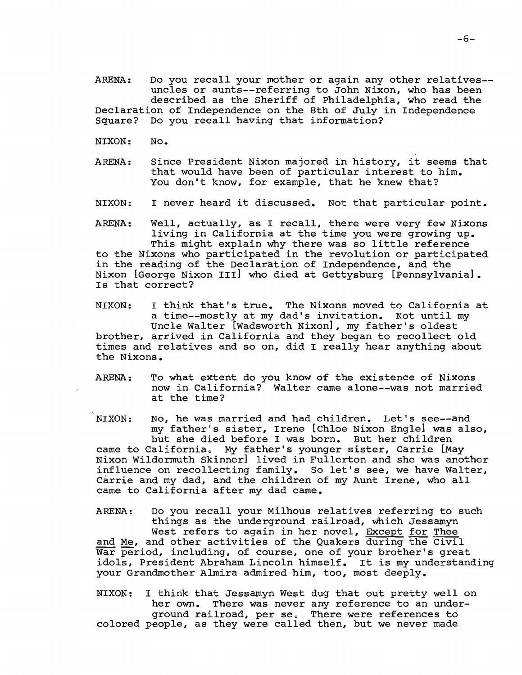ARENA: Do you recall your mother or again any other relatives-uncles or aunts--referring to John Nixon, who has been described as the Sheriff of Philadelphia, who read the Declaration of Independence on the 8th of July in Independence Square? Do you recall having that information?

- NIXON: No.
- ARENA: Since President Nixon majored in history, it seems that that would have been of particular interest to him. You don't know, for example, that he knew that?
- NIXON: I never heard it discussed. Not that particular point.

ARENA: Well, actually, as I recall, there were very few Nixons living in California at the time you were growing up. This might explain why there was so little reference to the Nixons who participated in the revolution or participated in the reading of the Declaration of Independence, and the Nixon [George Nixon III] who died at Gettysburg [pennsylvania]. Is that correct?

NIXON: I think that's true. The Nixons moved to California at<br>a time--mostly at my dad's invitation. Not until my a time--mostly at my dad's invitation. Uncle Walter [Wadsworth Nixon], my father's oldest brother, arrived in California and they began to recollect old times and relatives and so on, did I really hear anything about the Nixons.

ARENA: To what extent do you know of the existence of Nixons now in California? Walter came alone--was not married at the time?

NIXON: No, he was married and had children. Let's see--and my father's sister, Irene [Chloe Nixon Engle] was also, but she died before I was born. But her children came to California. My father's younger sister, Carrie [May Nixon Wildermuth Skinner] lived in Fullerton and she was another influence on recollecting family. So let's see, we have Walter, Carrie and my dad, and the children of my Aunt Irene, who all came to California after my dad came.

ARENA: Do you recall your Milhous relatives referring to such things as the underground railroad, which Jessamyn West refers to again in her novel, Except for Thee and Me, and other activities of the Quakers during the Civil War period, including, of course, one of your brother's great idols, President Abraham Lincoln himself. It is my understanding your Grandmother Almira admired him, too, most deeply.

NIXON: I think that Jessamyn West dug that out pretty well on her own. There was never any reference to an underground railroad, per se. There were references to colored people, as they were called then, but we never made